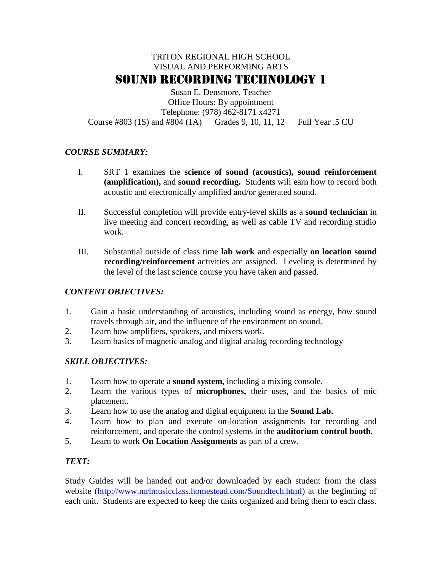# TRITON REGIONAL HIGH SCHOOL VISUAL AND PERFORMING ARTS SOUND RECORDING TECHNOLOGY 1

Susan E. Densmore, Teacher Office Hours: By appointment Telephone: (978) 462-8171 x4271 Course #803 (1S) and #804 (1A) Grades 9, 10, 11, 12 Full Year .5 CU

# *COURSE SUMMARY:*

- I. SRT 1 examines the **science of sound (acoustics), sound reinforcement (amplification),** and **sound recording.** Students will earn how to record both acoustic and electronically amplified and/or generated sound.
- II. Successful completion will provide entry-level skills as a **sound technician** in live meeting and concert recording, as well as cable TV and recording studio work.
- III. Substantial outside of class time **lab work** and especially **on location sound recording/reinforcement** activities are assigned. Leveling is determined by the level of the last science course you have taken and passed.

# *CONTENT OBJECTIVES:*

- 1. Gain a basic understanding of acoustics, including sound as energy, how sound travels through air, and the influence of the environment on sound.
- 2. Learn how amplifiers, speakers, and mixers work.
- 3. Learn basics of magnetic analog and digital analog recording technology

# *SKILL OBJECTIVES:*

- 1. Learn how to operate a **sound system,** including a mixing console.
- 2. Learn the various types of **microphones,** their uses, and the basics of mic placement.
- 3. Learn how to use the analog and digital equipment in the **Sound Lab.**
- 4. Learn how to plan and execute on-location assignments for recording and reinforcement, and operate the control systems in the **auditorium control booth.**
- 5. Learn to work **On Location Assignments** as part of a crew.

# *TEXT:*

Study Guides will be handed out and/or downloaded by each student from the class website [\(http://www.mrlmusicclass.homestead.com/Soundtech.html\)](http://www.mrlmusicclass.homestead.com/Soundtech.html) at the beginning of each unit. Students are expected to keep the units organized and bring them to each class.